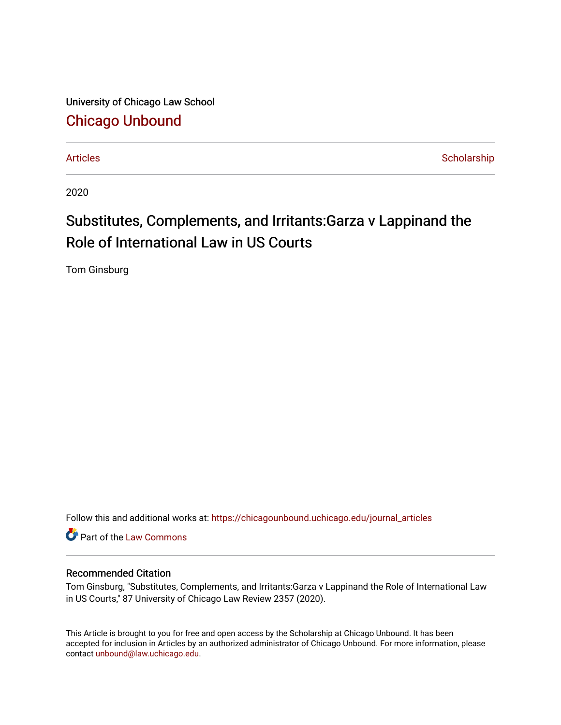University of Chicago Law School [Chicago Unbound](https://chicagounbound.uchicago.edu/)

[Articles](https://chicagounbound.uchicago.edu/journal_articles) **Scholarship** Scholarship

2020

# Substitutes, Complements, and Irritants:Garza v Lappinand the Role of International Law in US Courts

Tom Ginsburg

Follow this and additional works at: [https://chicagounbound.uchicago.edu/journal\\_articles](https://chicagounbound.uchicago.edu/journal_articles?utm_source=chicagounbound.uchicago.edu%2Fjournal_articles%2F10109&utm_medium=PDF&utm_campaign=PDFCoverPages) 

Part of the [Law Commons](http://network.bepress.com/hgg/discipline/578?utm_source=chicagounbound.uchicago.edu%2Fjournal_articles%2F10109&utm_medium=PDF&utm_campaign=PDFCoverPages)

# Recommended Citation

Tom Ginsburg, "Substitutes, Complements, and Irritants:Garza v Lappinand the Role of International Law in US Courts," 87 University of Chicago Law Review 2357 (2020).

This Article is brought to you for free and open access by the Scholarship at Chicago Unbound. It has been accepted for inclusion in Articles by an authorized administrator of Chicago Unbound. For more information, please contact [unbound@law.uchicago.edu](mailto:unbound@law.uchicago.edu).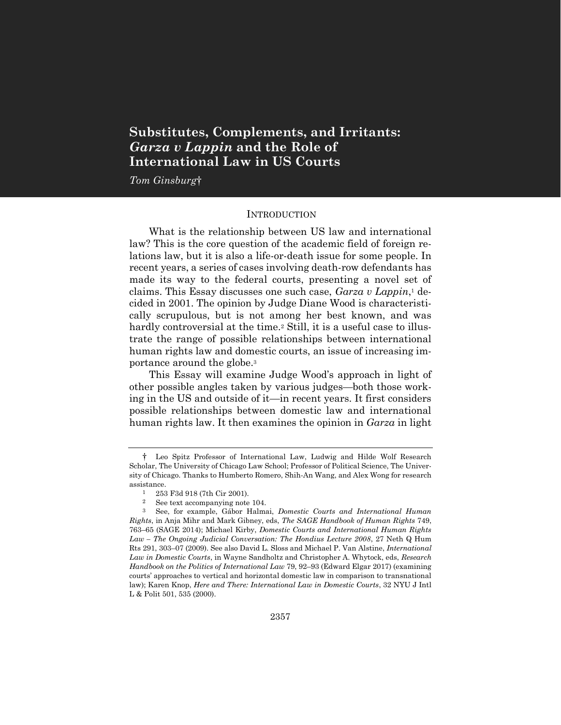# **Substitutes, Complements, and Irritants:** *Garza v Lappin* **and the Role of International Law in US Courts**

*Tom Ginsburg*†

#### **INTRODUCTION**

What is the relationship between US law and international law? This is the core question of the academic field of foreign relations law, but it is also a life-or-death issue for some people. In recent years, a series of cases involving death-row defendants has made its way to the federal courts, presenting a novel set of claims. This Essay discusses one such case, *Garza v Lappin*, <sup>1</sup> decided in 2001. The opinion by Judge Diane Wood is characteristically scrupulous, but is not among her best known, and was hardly controversial at the time.<sup>2</sup> Still, it is a useful case to illustrate the range of possible relationships between international human rights law and domestic courts, an issue of increasing importance around the globe.<sup>3</sup>

This Essay will examine Judge Wood's approach in light of other possible angles taken by various judges—both those working in the US and outside of it—in recent years. It first considers possible relationships between domestic law and international human rights law. It then examines the opinion in *Garza* in light

<sup>†</sup> Leo Spitz Professor of International Law, Ludwig and Hilde Wolf Research Scholar, The University of Chicago Law School; Professor of Political Science, The University of Chicago. Thanks to Humberto Romero, Shih-An Wang, and Alex Wong for research assistance.

<sup>1</sup> 253 F3d 918 (7th Cir 2001).

<sup>2</sup> See text accompanying note [104.](#page-20-0)

<sup>3</sup> See, for example, Gábor Halmai, *Domestic Courts and International Human Rights*, in Anja Mihr and Mark Gibney, eds, *The SAGE Handbook of Human Rights* 749, 763–65 (SAGE 2014); Michael Kirby, *Domestic Courts and International Human Rights Law – The Ongoing Judicial Conversation: The Hondius Lecture 2008*, 27 Neth Q Hum Rts 291, 303–07 (2009). See also David L. Sloss and Michael P. Van Alstine, *International Law in Domestic Courts*, in Wayne Sandholtz and Christopher A. Whytock, eds, *Research Handbook on the Politics of International Law* 79, 92–93 (Edward Elgar 2017) (examining courts' approaches to vertical and horizontal domestic law in comparison to transnational law); Karen Knop, *Here and There: International Law in Domestic Courts*, 32 NYU J Intl L & Polit 501, 535 (2000).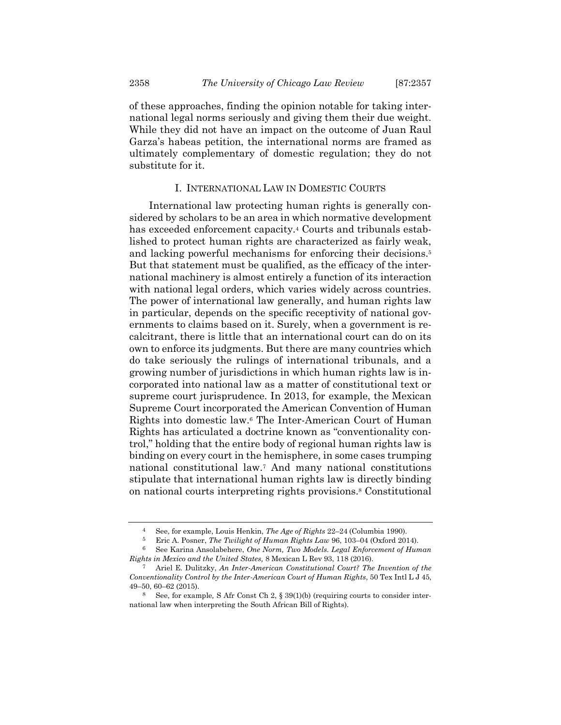of these approaches, finding the opinion notable for taking international legal norms seriously and giving them their due weight. While they did not have an impact on the outcome of Juan Raul Garza's habeas petition, the international norms are framed as ultimately complementary of domestic regulation; they do not substitute for it.

## I. INTERNATIONAL LAW IN DOMESTIC COURTS

International law protecting human rights is generally considered by scholars to be an area in which normative development has exceeded enforcement capacity.<sup>4</sup> Courts and tribunals established to protect human rights are characterized as fairly weak, and lacking powerful mechanisms for enforcing their decisions.<sup>5</sup> But that statement must be qualified, as the efficacy of the international machinery is almost entirely a function of its interaction with national legal orders, which varies widely across countries. The power of international law generally, and human rights law in particular, depends on the specific receptivity of national governments to claims based on it. Surely, when a government is recalcitrant, there is little that an international court can do on its own to enforce its judgments. But there are many countries which do take seriously the rulings of international tribunals, and a growing number of jurisdictions in which human rights law is incorporated into national law as a matter of constitutional text or supreme court jurisprudence. In 2013, for example, the Mexican Supreme Court incorporated the American Convention of Human Rights into domestic law.<sup>6</sup> The Inter-American Court of Human Rights has articulated a doctrine known as "conventionality control," holding that the entire body of regional human rights law is binding on every court in the hemisphere, in some cases trumping national constitutional law.<sup>7</sup> And many national constitutions stipulate that international human rights law is directly binding on national courts interpreting rights provisions.<sup>8</sup> Constitutional

<span id="page-2-0"></span><sup>4</sup> See, for example, Louis Henkin, *The Age of Rights* 22–24 (Columbia 1990).

<sup>5</sup> Eric A. Posner, *The Twilight of Human Rights Law* 96, 103–04 (Oxford 2014).

<sup>6</sup> See Karina Ansolabehere, *One Norm, Two Models. Legal Enforcement of Human Rights in Mexico and the United States,* 8 Mexican L Rev 93, 118 (2016).

<sup>7</sup> Ariel E. Dulitzky, *An Inter-American Constitutional Court? The Invention of the Conventionality Control by the Inter-American Court of Human Rights*, 50 Tex Intl L J 45, 49–50, 60–62 (2015).

<sup>8</sup> See, for example*,* S Afr Const Ch 2, § 39(1)(b) (requiring courts to consider international law when interpreting the South African Bill of Rights).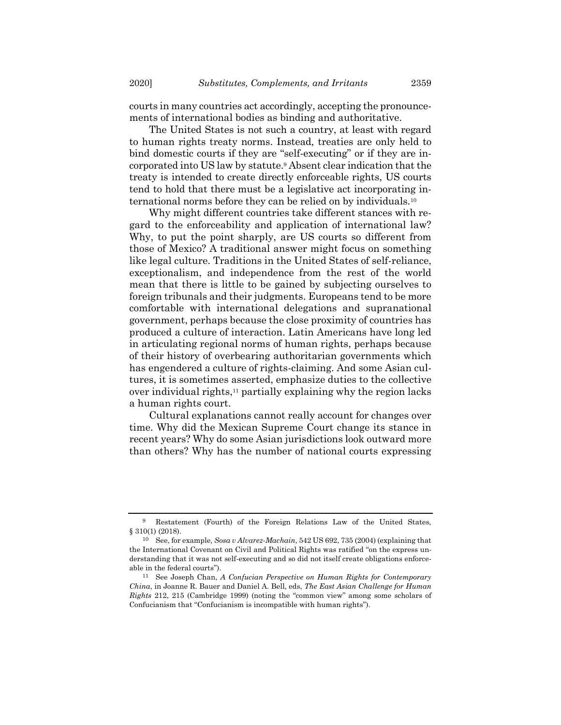courts in many countries act accordingly, accepting the pronouncements of international bodies as binding and authoritative.

The United States is not such a country, at least with regard to human rights treaty norms. Instead, treaties are only held to bind domestic courts if they are "self-executing" or if they are incorporated into US law by statute.<sup>9</sup> Absent clear indication that the treaty is intended to create directly enforceable rights, US courts tend to hold that there must be a legislative act incorporating international norms before they can be relied on by individuals.<sup>10</sup>

Why might different countries take different stances with regard to the enforceability and application of international law? Why, to put the point sharply, are US courts so different from those of Mexico? A traditional answer might focus on something like legal culture. Traditions in the United States of self-reliance, exceptionalism, and independence from the rest of the world mean that there is little to be gained by subjecting ourselves to foreign tribunals and their judgments. Europeans tend to be more comfortable with international delegations and supranational government, perhaps because the close proximity of countries has produced a culture of interaction. Latin Americans have long led in articulating regional norms of human rights, perhaps because of their history of overbearing authoritarian governments which has engendered a culture of rights-claiming. And some Asian cultures, it is sometimes asserted, emphasize duties to the collective over individual rights,<sup>11</sup> partially explaining why the region lacks a human rights court.

Cultural explanations cannot really account for changes over time. Why did the Mexican Supreme Court change its stance in recent years? Why do some Asian jurisdictions look outward more than others? Why has the number of national courts expressing

<sup>9</sup> Restatement (Fourth) of the Foreign Relations Law of the United States, § 310(1) (2018).

<sup>10</sup> See, for example*, Sosa v Alvarez-Machain*, 542 US 692, 735 (2004) (explaining that the International Covenant on Civil and Political Rights was ratified "on the express understanding that it was not self-executing and so did not itself create obligations enforceable in the federal courts").

<sup>11</sup> See Joseph Chan, *A Confucian Perspective on Human Rights for Contemporary China*, in Joanne R. Bauer and Daniel A. Bell, eds, *The East Asian Challenge for Human Rights* 212, 215 (Cambridge 1999) (noting the "common view" among some scholars of Confucianism that "Confucianism is incompatible with human rights").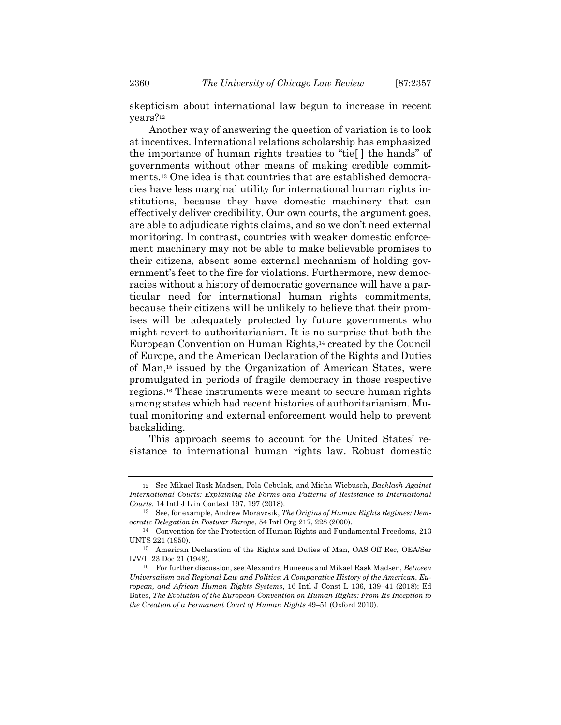skepticism about international law begun to increase in recent years?<sup>12</sup>

Another way of answering the question of variation is to look at incentives. International relations scholarship has emphasized the importance of human rights treaties to "tie[ ] the hands" of governments without other means of making credible commitments.<sup>13</sup> One idea is that countries that are established democracies have less marginal utility for international human rights institutions, because they have domestic machinery that can effectively deliver credibility. Our own courts, the argument goes, are able to adjudicate rights claims, and so we don't need external monitoring. In contrast, countries with weaker domestic enforcement machinery may not be able to make believable promises to their citizens, absent some external mechanism of holding government's feet to the fire for violations. Furthermore, new democracies without a history of democratic governance will have a particular need for international human rights commitments, because their citizens will be unlikely to believe that their promises will be adequately protected by future governments who might revert to authoritarianism. It is no surprise that both the European Convention on Human Rights,<sup>14</sup> created by the Council of Europe, and the American Declaration of the Rights and Duties of Man, <sup>15</sup> issued by the Organization of American States, were promulgated in periods of fragile democracy in those respective regions.<sup>16</sup> These instruments were meant to secure human rights among states which had recent histories of authoritarianism. Mutual monitoring and external enforcement would help to prevent backsliding.

<span id="page-4-0"></span>This approach seems to account for the United States' resistance to international human rights law. Robust domestic

<sup>12</sup> See Mikael Rask Madsen, Pola Cebulak, and Micha Wiebusch, *Backlash Against International Courts: Explaining the Forms and Patterns of Resistance to International Courts*, 14 Intl J L in Context 197, 197 (2018).

<sup>13</sup> See, for example, Andrew Moravcsik, *The Origins of Human Rights Regimes: Democratic Delegation in Postwar Europe*, 54 Intl Org 217, 228 (2000).

<sup>14</sup> Convention for the Protection of Human Rights and Fundamental Freedoms, 213 UNTS 221 (1950).

<sup>15</sup> American Declaration of the Rights and Duties of Man, OAS Off Rec, OEA/Ser L/V/II 23 Doc 21 (1948).

<sup>16</sup> For further discussion, see Alexandra Huneeus and Mikael Rask Madsen, *Between Universalism and Regional Law and Politics: A Comparative History of the American, European, and African Human Rights Systems*, 16 Intl J Const L 136, 139–41 (2018); Ed Bates, *The Evolution of the European Convention on Human Rights: From Its Inception to the Creation of a Permanent Court of Human Rights* 49–51 (Oxford 2010).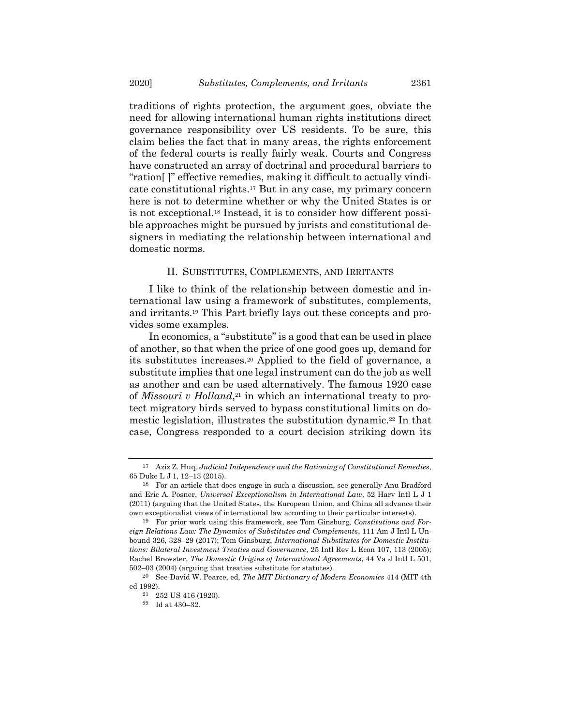traditions of rights protection, the argument goes, obviate the need for allowing international human rights institutions direct governance responsibility over US residents. To be sure, this claim belies the fact that in many areas, the rights enforcement of the federal courts is really fairly weak. Courts and Congress have constructed an array of doctrinal and procedural barriers to "ration[ ]" effective remedies, making it difficult to actually vindicate constitutional rights.<sup>17</sup> But in any case, my primary concern here is not to determine whether or why the United States is or is not exceptional.<sup>18</sup> Instead, it is to consider how different possible approaches might be pursued by jurists and constitutional designers in mediating the relationship between international and domestic norms.

#### II. SUBSTITUTES, COMPLEMENTS, AND IRRITANTS

I like to think of the relationship between domestic and international law using a framework of substitutes, complements, and irritants.<sup>19</sup> This Part briefly lays out these concepts and provides some examples.

<span id="page-5-0"></span>In economics, a "substitute" is a good that can be used in place of another, so that when the price of one good goes up, demand for its substitutes increases.<sup>20</sup> Applied to the field of governance, a substitute implies that one legal instrument can do the job as well as another and can be used alternatively. The famous 1920 case of *Missouri v Holland*, <sup>21</sup> in which an international treaty to protect migratory birds served to bypass constitutional limits on domestic legislation, illustrates the substitution dynamic.<sup>22</sup> In that case, Congress responded to a court decision striking down its

<sup>17</sup> Aziz Z. Huq, *Judicial Independence and the Rationing of Constitutional Remedies*, 65 Duke L J 1, 12–13 (2015).

<sup>18</sup> For an article that does engage in such a discussion, see generally Anu Bradford and Eric A. Posner, *Universal Exceptionalism in International Law*, 52 Harv Intl L J 1 (2011) (arguing that the United States, the European Union, and China all advance their own exceptionalist views of international law according to their particular interests).

<sup>19</sup> For prior work using this framework, see Tom Ginsburg, *Constitutions and Foreign Relations Law: The Dynamics of Substitutes and Complements*, 111 Am J Intl L Unbound 326, 328–29 (2017); Tom Ginsburg, *International Substitutes for Domestic Institutions: Bilateral Investment Treaties and Governance*, 25 Intl Rev L Econ 107, 113 (2005); Rachel Brewster, *The Domestic Origins of International Agreements*, 44 Va J Intl L 501, 502–03 (2004) (arguing that treaties substitute for statutes).

<sup>20</sup> See David W. Pearce, ed, *The MIT Dictionary of Modern Economics* 414 (MIT 4th ed 1992).

<sup>21</sup> 252 US 416 (1920).

<sup>22</sup> Id at 430–32.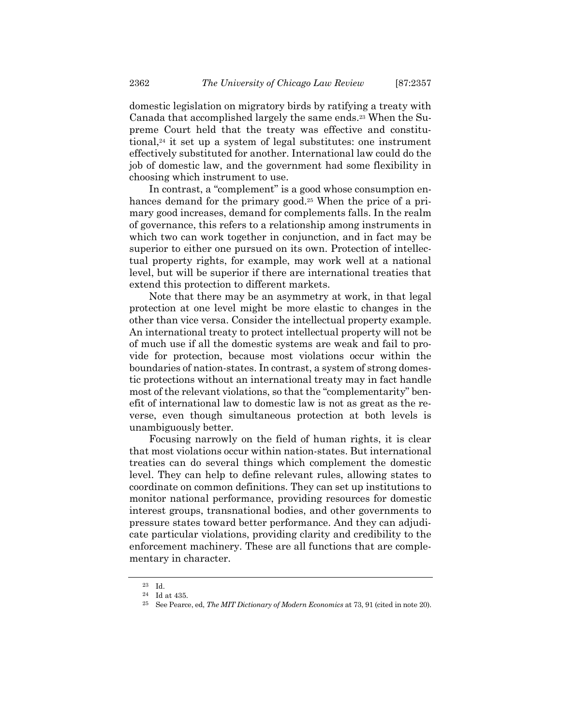domestic legislation on migratory birds by ratifying a treaty with Canada that accomplished largely the same ends.<sup>23</sup> When the Supreme Court held that the treaty was effective and constitutional,<sup>24</sup> it set up a system of legal substitutes: one instrument effectively substituted for another. International law could do the job of domestic law, and the government had some flexibility in choosing which instrument to use.

In contrast, a "complement" is a good whose consumption enhances demand for the primary good.<sup>25</sup> When the price of a primary good increases, demand for complements falls. In the realm of governance, this refers to a relationship among instruments in which two can work together in conjunction, and in fact may be superior to either one pursued on its own. Protection of intellectual property rights, for example, may work well at a national level, but will be superior if there are international treaties that extend this protection to different markets.

Note that there may be an asymmetry at work, in that legal protection at one level might be more elastic to changes in the other than vice versa. Consider the intellectual property example. An international treaty to protect intellectual property will not be of much use if all the domestic systems are weak and fail to provide for protection, because most violations occur within the boundaries of nation-states. In contrast, a system of strong domestic protections without an international treaty may in fact handle most of the relevant violations, so that the "complementarity" benefit of international law to domestic law is not as great as the reverse, even though simultaneous protection at both levels is unambiguously better.

Focusing narrowly on the field of human rights, it is clear that most violations occur within nation-states. But international treaties can do several things which complement the domestic level. They can help to define relevant rules, allowing states to coordinate on common definitions. They can set up institutions to monitor national performance, providing resources for domestic interest groups, transnational bodies, and other governments to pressure states toward better performance. And they can adjudicate particular violations, providing clarity and credibility to the enforcement machinery. These are all functions that are complementary in character.

<sup>23</sup> Id.

<sup>24</sup> Id at 435.

<sup>25</sup> See Pearce, ed, *The MIT Dictionary of Modern Economics* at 73, 91 (cited in note [20\)](#page-5-0).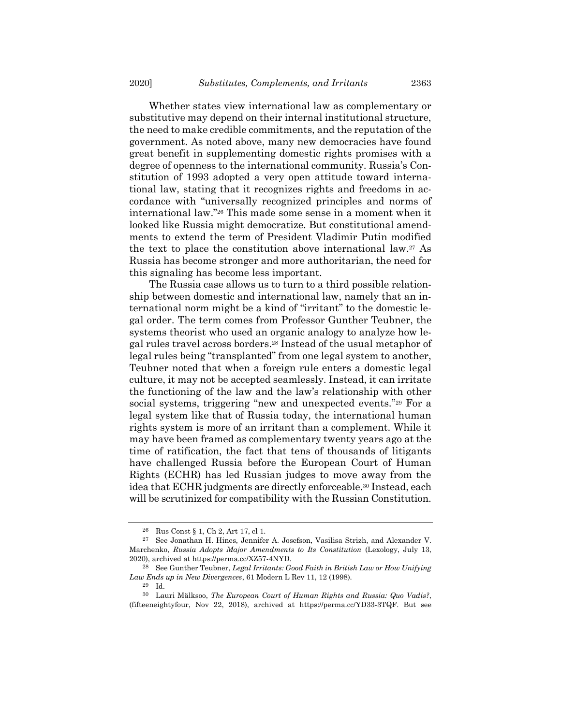Whether states view international law as complementary or substitutive may depend on their internal institutional structure, the need to make credible commitments, and the reputation of the government. As noted above, many new democracies have found great benefit in supplementing domestic rights promises with a degree of openness to the international community. Russia's Constitution of 1993 adopted a very open attitude toward international law, stating that it recognizes rights and freedoms in accordance with "universally recognized principles and norms of international law."<sup>26</sup> This made some sense in a moment when it looked like Russia might democratize. But constitutional amendments to extend the term of President Vladimir Putin modified the text to place the constitution above international law. <sup>27</sup> As Russia has become stronger and more authoritarian, the need for this signaling has become less important.

The Russia case allows us to turn to a third possible relationship between domestic and international law, namely that an international norm might be a kind of "irritant" to the domestic legal order. The term comes from Professor Gunther Teubner, the systems theorist who used an organic analogy to analyze how legal rules travel across borders.<sup>28</sup> Instead of the usual metaphor of legal rules being "transplanted" from one legal system to another, Teubner noted that when a foreign rule enters a domestic legal culture, it may not be accepted seamlessly. Instead, it can irritate the functioning of the law and the law's relationship with other social systems, triggering "new and unexpected events."<sup>29</sup> For a legal system like that of Russia today, the international human rights system is more of an irritant than a complement. While it may have been framed as complementary twenty years ago at the time of ratification, the fact that tens of thousands of litigants have challenged Russia before the European Court of Human Rights (ECHR) has led Russian judges to move away from the idea that ECHR judgments are directly enforceable.<sup>30</sup> Instead, each will be scrutinized for compatibility with the Russian Constitution.

<sup>26</sup> Rus Const § 1, Ch 2, Art 17, cl 1.

<sup>27</sup> See Jonathan H. Hines, Jennifer A. Josefson, Vasilisa Strizh, and Alexander V. Marchenko, *Russia Adopts Major Amendments to Its Constitution* (Lexology, July 13, 2020), archived at https://perma.cc/XZ57-4NYD.

<sup>28</sup> See Gunther Teubner, *Legal Irritants: Good Faith in British Law or How Unifying Law Ends up in New Divergences*, 61 Modern L Rev 11, 12 (1998).

<sup>29</sup> Id.

<sup>30</sup> Lauri Mälksoo, *The European Court of Human Rights and Russia: Quo Vadis?*, (fifteeneightyfour, Nov 22, 2018), archived at https://perma.cc/YD33-3TQF. But see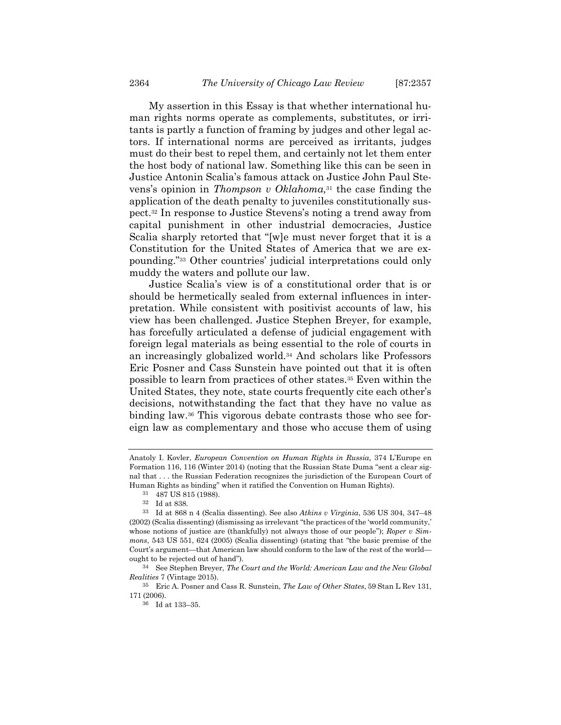My assertion in this Essay is that whether international human rights norms operate as complements, substitutes, or irritants is partly a function of framing by judges and other legal actors. If international norms are perceived as irritants, judges must do their best to repel them, and certainly not let them enter the host body of national law. Something like this can be seen in Justice Antonin Scalia's famous attack on Justice John Paul Stevens's opinion in *Thompson v Oklahoma,* <sup>31</sup> the case finding the application of the death penalty to juveniles constitutionally suspect.<sup>32</sup> In response to Justice Stevens's noting a trend away from capital punishment in other industrial democracies, Justice Scalia sharply retorted that "[w]e must never forget that it is a Constitution for the United States of America that we are expounding."<sup>33</sup> Other countries' judicial interpretations could only muddy the waters and pollute our law.

Justice Scalia's view is of a constitutional order that is or should be hermetically sealed from external influences in interpretation. While consistent with positivist accounts of law, his view has been challenged. Justice Stephen Breyer, for example, has forcefully articulated a defense of judicial engagement with foreign legal materials as being essential to the role of courts in an increasingly globalized world.<sup>34</sup> And scholars like Professors Eric Posner and Cass Sunstein have pointed out that it is often possible to learn from practices of other states.<sup>35</sup> Even within the United States, they note, state courts frequently cite each other's decisions, notwithstanding the fact that they have no value as binding law.<sup>36</sup> This vigorous debate contrasts those who see foreign law as complementary and those who accuse them of using

Anatoly I. Kovler, *European Convention on Human Rights in Russia,* 374 L'Europe en Formation 116, 116 (Winter 2014) (noting that the Russian State Duma "sent a clear signal that . . . the Russian Federation recognizes the jurisdiction of the European Court of Human Rights as binding" when it ratified the Convention on Human Rights).

<sup>31</sup> 487 US 815 (1988).

<sup>32</sup> Id at 838.

<sup>33</sup> Id at 868 n 4 (Scalia dissenting). See also *Atkins v Virginia*, 536 US 304, 347–48 (2002) (Scalia dissenting) (dismissing as irrelevant "the practices of the 'world community,' whose notions of justice are (thankfully) not always those of our people"); *Roper v Simmons*, 543 US 551, 624 (2005) (Scalia dissenting) (stating that "the basic premise of the Court's argument—that American law should conform to the law of the rest of the world ought to be rejected out of hand").

<sup>34</sup> See Stephen Breyer, *The Court and the World: American Law and the New Global Realities* 7 (Vintage 2015).

<sup>35</sup> Eric A. Posner and Cass R. Sunstein, *The Law of Other States*, 59 Stan L Rev 131, 171 (2006).

<sup>36</sup> Id at 133–35.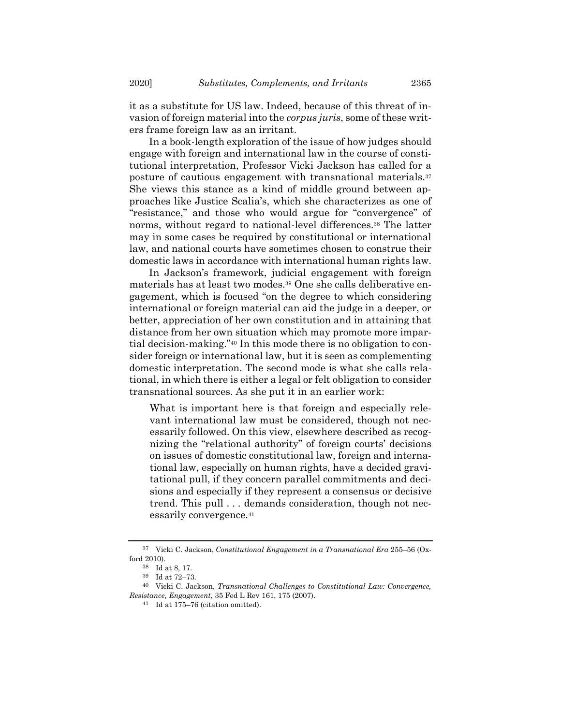it as a substitute for US law. Indeed, because of this threat of invasion of foreign material into the *corpus juris*, some of these writers frame foreign law as an irritant.

In a book-length exploration of the issue of how judges should engage with foreign and international law in the course of constitutional interpretation, Professor Vicki Jackson has called for a posture of cautious engagement with transnational materials.<sup>37</sup> She views this stance as a kind of middle ground between approaches like Justice Scalia's, which she characterizes as one of "resistance," and those who would argue for "convergence" of norms, without regard to national-level differences.<sup>38</sup> The latter may in some cases be required by constitutional or international law, and national courts have sometimes chosen to construe their domestic laws in accordance with international human rights law.

In Jackson's framework, judicial engagement with foreign materials has at least two modes.<sup>39</sup> One she calls deliberative engagement, which is focused "on the degree to which considering international or foreign material can aid the judge in a deeper, or better, appreciation of her own constitution and in attaining that distance from her own situation which may promote more impartial decision-making."<sup>40</sup> In this mode there is no obligation to consider foreign or international law, but it is seen as complementing domestic interpretation. The second mode is what she calls relational, in which there is either a legal or felt obligation to consider transnational sources. As she put it in an earlier work:

What is important here is that foreign and especially relevant international law must be considered, though not necessarily followed. On this view, elsewhere described as recognizing the "relational authority" of foreign courts' decisions on issues of domestic constitutional law, foreign and international law, especially on human rights, have a decided gravitational pull, if they concern parallel commitments and decisions and especially if they represent a consensus or decisive trend. This pull . . . demands consideration, though not necessarily convergence.<sup>41</sup>

<sup>37</sup> Vicki C. Jackson, *Constitutional Engagement in a Transnational Era* 255–56 (Oxford 2010).

<sup>38</sup> Id at 8, 17.

<sup>39</sup> Id at 72–73.

<sup>40</sup> Vicki C. Jackson, *Transnational Challenges to Constitutional Law: Convergence, Resistance, Engagement*, 35 Fed L Rev 161, 175 (2007).

<sup>41</sup> Id at 175–76 (citation omitted).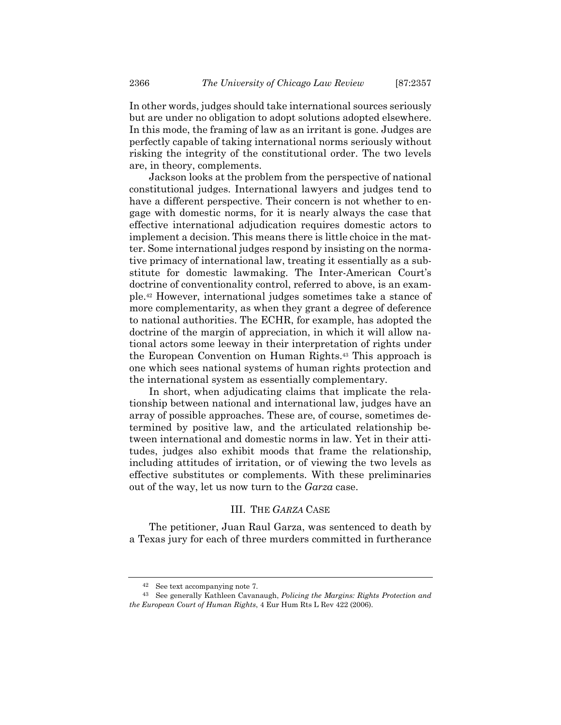In other words, judges should take international sources seriously but are under no obligation to adopt solutions adopted elsewhere. In this mode, the framing of law as an irritant is gone. Judges are perfectly capable of taking international norms seriously without risking the integrity of the constitutional order. The two levels are, in theory, complements.

Jackson looks at the problem from the perspective of national constitutional judges. International lawyers and judges tend to have a different perspective. Their concern is not whether to engage with domestic norms, for it is nearly always the case that effective international adjudication requires domestic actors to implement a decision. This means there is little choice in the matter. Some international judges respond by insisting on the normative primacy of international law, treating it essentially as a substitute for domestic lawmaking. The Inter-American Court's doctrine of conventionality control, referred to above, is an example.<sup>42</sup> However, international judges sometimes take a stance of more complementarity, as when they grant a degree of deference to national authorities. The ECHR, for example, has adopted the doctrine of the margin of appreciation, in which it will allow national actors some leeway in their interpretation of rights under the European Convention on Human Rights.<sup>43</sup> This approach is one which sees national systems of human rights protection and the international system as essentially complementary.

In short, when adjudicating claims that implicate the relationship between national and international law, judges have an array of possible approaches. These are, of course, sometimes determined by positive law, and the articulated relationship between international and domestic norms in law. Yet in their attitudes, judges also exhibit moods that frame the relationship, including attitudes of irritation, or of viewing the two levels as effective substitutes or complements. With these preliminaries out of the way, let us now turn to the *Garza* case.

#### III. THE *GARZA* CASE

The petitioner, Juan Raul Garza, was sentenced to death by a Texas jury for each of three murders committed in furtherance

<sup>42</sup> See text accompanying note [7.](#page-2-0)

<sup>43</sup> See generally Kathleen Cavanaugh, *Policing the Margins: Rights Protection and the European Court of Human Rights*, 4 Eur Hum Rts L Rev 422 (2006).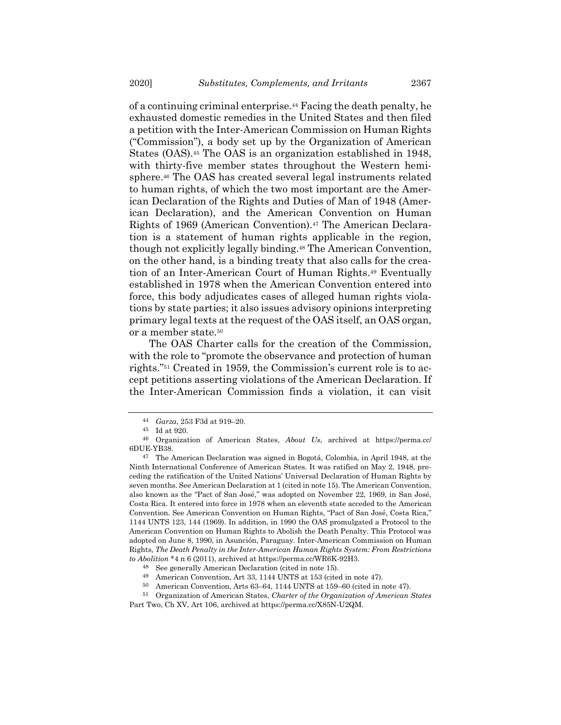<span id="page-11-0"></span>of a continuing criminal enterprise.<sup>44</sup> Facing the death penalty, he exhausted domestic remedies in the United States and then filed a petition with the Inter-American Commission on Human Rights ("Commission"), a body set up by the Organization of American States (OAS).<sup>45</sup> The OAS is an organization established in 1948, with thirty-five member states throughout the Western hemisphere.<sup>46</sup> The OAS has created several legal instruments related to human rights, of which the two most important are the American Declaration of the Rights and Duties of Man of 1948 (American Declaration), and the American Convention on Human Rights of 1969 (American Convention).<sup>47</sup> The American Declaration is a statement of human rights applicable in the region, though not explicitly legally binding.<sup>48</sup> The American Convention, on the other hand, is a binding treaty that also calls for the creation of an Inter-American Court of Human Rights.<sup>49</sup> Eventually established in 1978 when the American Convention entered into force, this body adjudicates cases of alleged human rights violations by state parties; it also issues advisory opinions interpreting primary legal texts at the request of the OAS itself, an OAS organ, or a member state.<sup>50</sup>

The OAS Charter calls for the creation of the Commission, with the role to "promote the observance and protection of human rights."<sup>51</sup> Created in 1959, the Commission's current role is to accept petitions asserting violations of the American Declaration. If the Inter-American Commission finds a violation, it can visit

<sup>44</sup> *Garza*, 253 F3d at 919–20.

<sup>45</sup> Id at 920.

<sup>46</sup> Organization of American States, *About Us*, archived at https://perma.cc/ 6DUE-YB38.

<sup>47</sup> The American Declaration was signed in Bogotá, Colombia, in April 1948, at the Ninth International Conference of American States. It was ratified on May 2, 1948, preceding the ratification of the United Nations' Universal Declaration of Human Rights by seven months. See American Declaration at 1 (cited in not[e 15\)](#page-4-0). The American Convention, also known as the "Pact of San José," was adopted on November 22, 1969, in San José, Costa Rica. It entered into force in 1978 when an eleventh state acceded to the American Convention. See American Convention on Human Rights, "Pact of San José, Costa Rica," 1144 UNTS 123, 144 (1969). In addition, in 1990 the OAS promulgated a Protocol to the American Convention on Human Rights to Abolish the Death Penalty. This Protocol was adopted on June 8, 1990, in Asunción, Paraguay. Inter-American Commission on Human Rights*, The Death Penalty in the Inter-American Human Rights System: From Restrictions to Abolition* \*4 n 6 (2011), archived at https://perma.cc/WR6K-92H3.

<sup>48</sup> See generally American Declaration (cited in note [15\)](#page-4-0).

<sup>49</sup> American Convention, Art 33, 1144 UNTS at 153 (cited in not[e 47\)](#page-11-0).

<sup>50</sup> American Convention, Arts 63–64, 1144 UNTS at 159–60 (cited in not[e 47\)](#page-11-0).

<sup>51</sup> Organization of American States, *Charter of the Organization of American States* Part Two, Ch XV, Art 106, archived at https://perma.cc/X85N-U2QM.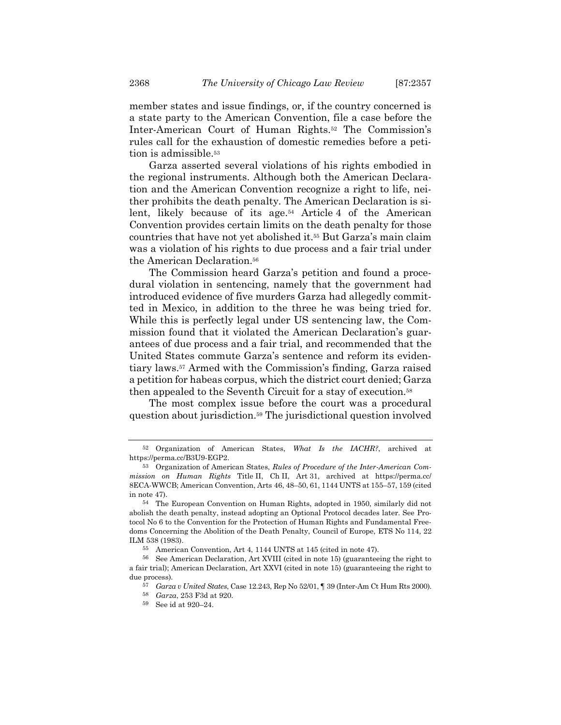member states and issue findings, or, if the country concerned is a state party to the American Convention, file a case before the Inter-American Court of Human Rights.<sup>52</sup> The Commission's rules call for the exhaustion of domestic remedies before a petition is admissible.<sup>53</sup>

Garza asserted several violations of his rights embodied in the regional instruments. Although both the American Declaration and the American Convention recognize a right to life, neither prohibits the death penalty. The American Declaration is silent, likely because of its age.<sup>54</sup> Article 4 of the American Convention provides certain limits on the death penalty for those countries that have not yet abolished it.<sup>55</sup> But Garza's main claim was a violation of his rights to due process and a fair trial under the American Declaration.<sup>56</sup>

The Commission heard Garza's petition and found a procedural violation in sentencing, namely that the government had introduced evidence of five murders Garza had allegedly committed in Mexico, in addition to the three he was being tried for. While this is perfectly legal under US sentencing law, the Commission found that it violated the American Declaration's guarantees of due process and a fair trial, and recommended that the United States commute Garza's sentence and reform its evidentiary laws.<sup>57</sup> Armed with the Commission's finding, Garza raised a petition for habeas corpus, which the district court denied; Garza then appealed to the Seventh Circuit for a stay of execution.<sup>58</sup>

The most complex issue before the court was a procedural question about jurisdiction.<sup>59</sup> The jurisdictional question involved

<sup>52</sup> Organization of American States, *What Is the IACHR?*, archived at https://perma.cc/B3U9-EGP2.

<sup>53</sup> Organization of American States, *Rules of Procedure of the Inter-American Commission on Human Rights* Title II, Ch II, Art 31, archived at https://perma.cc/ 8ECA-WWCB; American Convention, Arts 46, 48–50, 61, 1144 UNTS at 155–57, 159 (cited in note [47\)](#page-11-0).

<sup>54</sup> The European Convention on Human Rights, adopted in 1950, similarly did not abolish the death penalty, instead adopting an Optional Protocol decades later. See Protocol No 6 to the Convention for the Protection of Human Rights and Fundamental Freedoms Concerning the Abolition of the Death Penalty, Council of Europe, ETS No 114, 22 ILM 538 (1983).

<sup>55</sup> American Convention, Art 4, 1144 UNTS at 145 (cited in note [47\)](#page-11-0).

<sup>56</sup> See American Declaration, Art XVIII (cited in note [15\)](#page-4-0) (guaranteeing the right to a fair trial); American Declaration, Art XXVI (cited in note [15\)](#page-4-0) (guaranteeing the right to due process).

<sup>57</sup> *Garza v United States*, Case 12.243, Rep No 52/01, ¶ 39 (Inter-Am Ct Hum Rts 2000).

<sup>58</sup> *Garza*, 253 F3d at 920.

<sup>59</sup> See id at 920–24.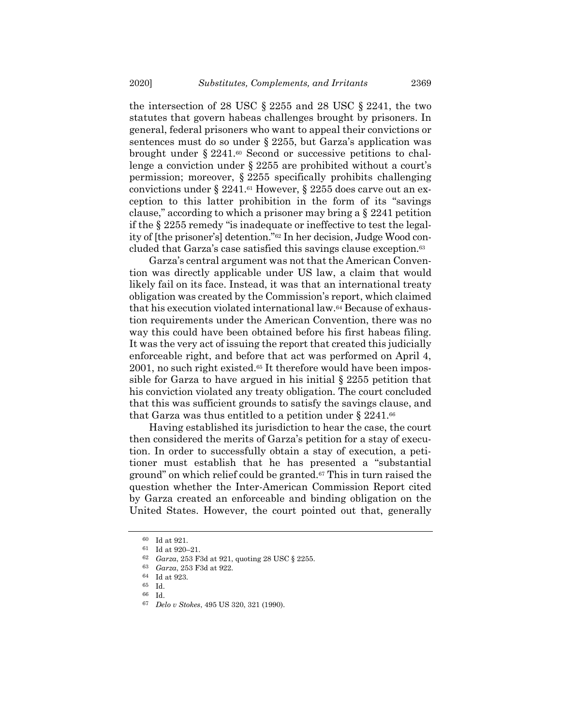the intersection of 28 USC § 2255 and 28 USC § 2241, the two statutes that govern habeas challenges brought by prisoners. In general, federal prisoners who want to appeal their convictions or sentences must do so under § 2255, but Garza's application was brought under  $\S 2241.60$  Second or successive petitions to challenge a conviction under § 2255 are prohibited without a court's permission; moreover, § 2255 specifically prohibits challenging convictions under § 2241.<sup>61</sup> However, § 2255 does carve out an exception to this latter prohibition in the form of its "savings clause," according to which a prisoner may bring a  $\S 2241$  petition if the § 2255 remedy "is inadequate or ineffective to test the legality of [the prisoner's] detention."<sup>62</sup> In her decision, Judge Wood concluded that Garza's case satisfied this savings clause exception.<sup>63</sup>

Garza's central argument was not that the American Convention was directly applicable under US law, a claim that would likely fail on its face. Instead, it was that an international treaty obligation was created by the Commission's report, which claimed that his execution violated international law.<sup>64</sup> Because of exhaustion requirements under the American Convention, there was no way this could have been obtained before his first habeas filing. It was the very act of issuing the report that created this judicially enforceable right, and before that act was performed on April 4, 2001, no such right existed.<sup>65</sup> It therefore would have been impossible for Garza to have argued in his initial § 2255 petition that his conviction violated any treaty obligation. The court concluded that this was sufficient grounds to satisfy the savings clause, and that Garza was thus entitled to a petition under  $\S 2241.66$ 

Having established its jurisdiction to hear the case, the court then considered the merits of Garza's petition for a stay of execution. In order to successfully obtain a stay of execution, a petitioner must establish that he has presented a "substantial ground" on which relief could be granted.<sup>67</sup> This in turn raised the question whether the Inter-American Commission Report cited by Garza created an enforceable and binding obligation on the United States. However, the court pointed out that, generally

<sup>60</sup> Id at 921.

<sup>61</sup> Id at 920–21.

<sup>62</sup> *Garza*, 253 F3d at 921, quoting 28 USC § 2255.

<sup>63</sup> *Garza*, 253 F3d at 922.

 $^{64}$  Id at 923.<br> $^{65}$ Id

Id. 66 Id.

<sup>67</sup> *Delo v Stokes*, 495 US 320, 321 (1990).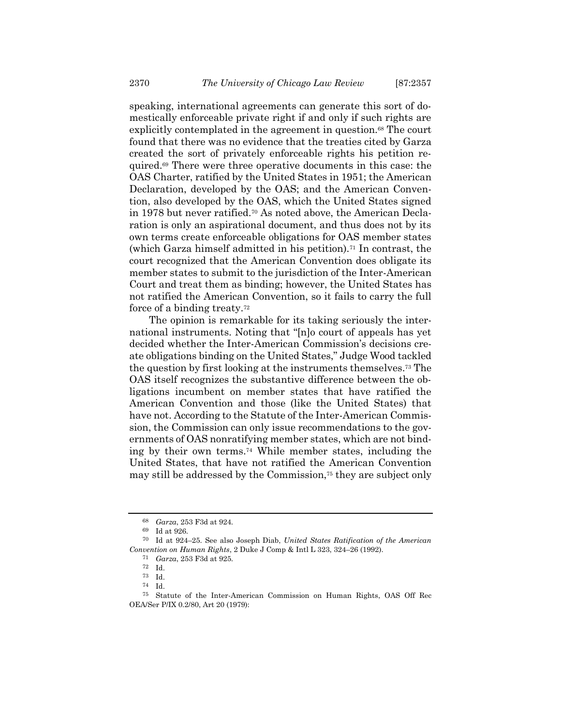speaking, international agreements can generate this sort of domestically enforceable private right if and only if such rights are explicitly contemplated in the agreement in question.<sup>68</sup> The court found that there was no evidence that the treaties cited by Garza created the sort of privately enforceable rights his petition required.<sup>69</sup> There were three operative documents in this case: the OAS Charter, ratified by the United States in 1951; the American Declaration, developed by the OAS; and the American Convention, also developed by the OAS, which the United States signed in 1978 but never ratified.<sup>70</sup> As noted above, the American Declaration is only an aspirational document, and thus does not by its own terms create enforceable obligations for OAS member states (which Garza himself admitted in his petition).<sup>71</sup> In contrast, the court recognized that the American Convention does obligate its member states to submit to the jurisdiction of the Inter-American Court and treat them as binding; however, the United States has not ratified the American Convention, so it fails to carry the full force of a binding treaty.<sup>72</sup>

The opinion is remarkable for its taking seriously the international instruments. Noting that "[n]o court of appeals has yet decided whether the Inter-American Commission's decisions create obligations binding on the United States," Judge Wood tackled the question by first looking at the instruments themselves.<sup>73</sup> The OAS itself recognizes the substantive difference between the obligations incumbent on member states that have ratified the American Convention and those (like the United States) that have not. According to the Statute of the Inter-American Commission, the Commission can only issue recommendations to the governments of OAS nonratifying member states, which are not binding by their own terms.<sup>74</sup> While member states, including the United States, that have not ratified the American Convention may still be addressed by the Commission,<sup>75</sup> they are subject only

<sup>68</sup> *Garza*, 253 F3d at 924.

<sup>69</sup> Id at 926.

<sup>70</sup> Id at 924–25. See also Joseph Diab, *United States Ratification of the American Convention on Human Rights*, 2 Duke J Comp & Intl L 323, 324–26 (1992).

<sup>71</sup> *Garza*, 253 F3d at 925.

<sup>72</sup> Id.

<sup>73</sup> Id.

<sup>74</sup> Id.

<sup>75</sup> Statute of the Inter-American Commission on Human Rights, OAS Off Rec OEA/Ser P/IX 0.2/80, Art 20 (1979):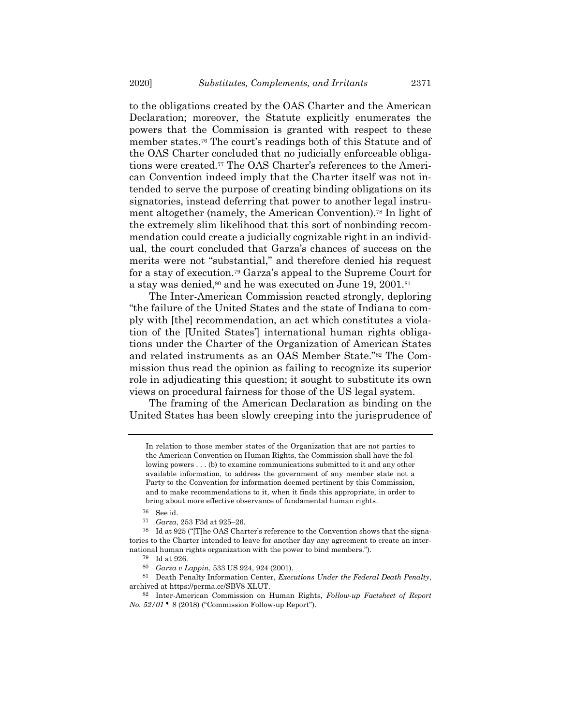to the obligations created by the OAS Charter and the American Declaration; moreover, the Statute explicitly enumerates the powers that the Commission is granted with respect to these member states. <sup>76</sup> The court's readings both of this Statute and of the OAS Charter concluded that no judicially enforceable obligations were created.<sup>77</sup> The OAS Charter's references to the American Convention indeed imply that the Charter itself was not intended to serve the purpose of creating binding obligations on its signatories, instead deferring that power to another legal instrument altogether (namely, the American Convention).<sup>78</sup> In light of the extremely slim likelihood that this sort of nonbinding recommendation could create a judicially cognizable right in an individual, the court concluded that Garza's chances of success on the merits were not "substantial," and therefore denied his request for a stay of execution.<sup>79</sup> Garza's appeal to the Supreme Court for a stay was denied,<sup>80</sup> and he was executed on June 19, 2001.<sup>81</sup>

The Inter-American Commission reacted strongly, deploring "the failure of the United States and the state of Indiana to comply with [the] recommendation, an act which constitutes a violation of the [United States'] international human rights obligations under the Charter of the Organization of American States and related instruments as an OAS Member State."<sup>82</sup> The Commission thus read the opinion as failing to recognize its superior role in adjudicating this question; it sought to substitute its own views on procedural fairness for those of the US legal system.

The framing of the American Declaration as binding on the United States has been slowly creeping into the jurisprudence of

77 *Garza*, 253 F3d at 925–26.

<span id="page-15-0"></span>In relation to those member states of the Organization that are not parties to the American Convention on Human Rights, the Commission shall have the following powers . . . (b) to examine communications submitted to it and any other available information, to address the government of any member state not a Party to the Convention for information deemed pertinent by this Commission, and to make recommendations to it, when it finds this appropriate, in order to bring about more effective observance of fundamental human rights.

<sup>76</sup> See id.

<sup>78</sup> Id at 925 ("[T]he OAS Charter's reference to the Convention shows that the signatories to the Charter intended to leave for another day any agreement to create an international human rights organization with the power to bind members.").

<sup>79</sup> Id at 926.

<sup>80</sup> *Garza v Lappin*, 533 US 924, 924 (2001).

<sup>81</sup> Death Penalty Information Center, *Executions Under the Federal Death Penalty*, archived at https://perma.cc/SBV8-XLUT.

<sup>82</sup> Inter-American Commission on Human Rights, *Follow-up Factsheet of Report No. 52/01* ¶ 8 (2018) ("Commission Follow-up Report").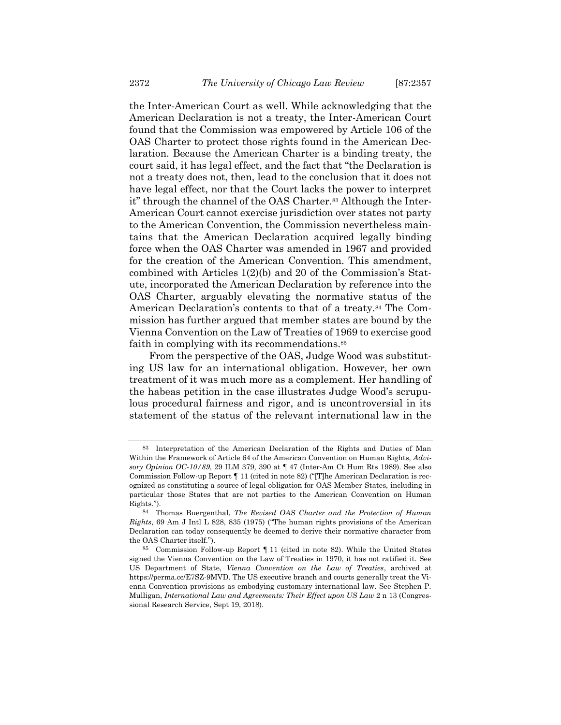the Inter-American Court as well. While acknowledging that the American Declaration is not a treaty, the Inter-American Court found that the Commission was empowered by Article 106 of the OAS Charter to protect those rights found in the American Declaration. Because the American Charter is a binding treaty, the court said, it has legal effect, and the fact that "the Declaration is not a treaty does not, then, lead to the conclusion that it does not have legal effect, nor that the Court lacks the power to interpret it" through the channel of the OAS Charter.<sup>83</sup> Although the Inter-American Court cannot exercise jurisdiction over states not party to the American Convention, the Commission nevertheless maintains that the American Declaration acquired legally binding force when the OAS Charter was amended in 1967 and provided for the creation of the American Convention. This amendment, combined with Articles 1(2)(b) and 20 of the Commission's Statute, incorporated the American Declaration by reference into the OAS Charter, arguably elevating the normative status of the American Declaration's contents to that of a treaty.<sup>84</sup> The Commission has further argued that member states are bound by the Vienna Convention on the Law of Treaties of 1969 to exercise good faith in complying with its recommendations.<sup>85</sup>

From the perspective of the OAS, Judge Wood was substituting US law for an international obligation. However, her own treatment of it was much more as a complement. Her handling of the habeas petition in the case illustrates Judge Wood's scrupulous procedural fairness and rigor, and is uncontroversial in its statement of the status of the relevant international law in the

<sup>83</sup> Interpretation of the American Declaration of the Rights and Duties of Man Within the Framework of Article 64 of the American Convention on Human Rights, *Advisory Opinion OC‐10/89*, 29 ILM 379, 390 at ¶ 47 (Inter-Am Ct Hum Rts 1989). See also Commission Follow-up Report ¶ 11 (cited in not[e 82\)](#page-15-0) ("[T]he American Declaration is recognized as constituting a source of legal obligation for OAS Member States, including in particular those States that are not parties to the American Convention on Human Rights.").

<sup>84</sup> Thomas Buergenthal, *The Revised OAS Charter and the Protection of Human Rights*, 69 Am J Intl L 828, 835 (1975) ("The human rights provisions of the American Declaration can today consequently be deemed to derive their normative character from the OAS Charter itself.").

<sup>85</sup> Commission Follow-up Report ¶ 11 (cited in note [82\)](#page-15-0). While the United States signed the Vienna Convention on the Law of Treaties in 1970, it has not ratified it. See US Department of State, *Vienna Convention on the Law of Treaties*, archived at https://perma.cc/E7SZ-9MVD. The US executive branch and courts generally treat the Vienna Convention provisions as embodying customary international law. See Stephen P. Mulligan, *International Law and Agreements: Their Effect upon US Law* 2 n 13 (Congressional Research Service, Sept 19, 2018).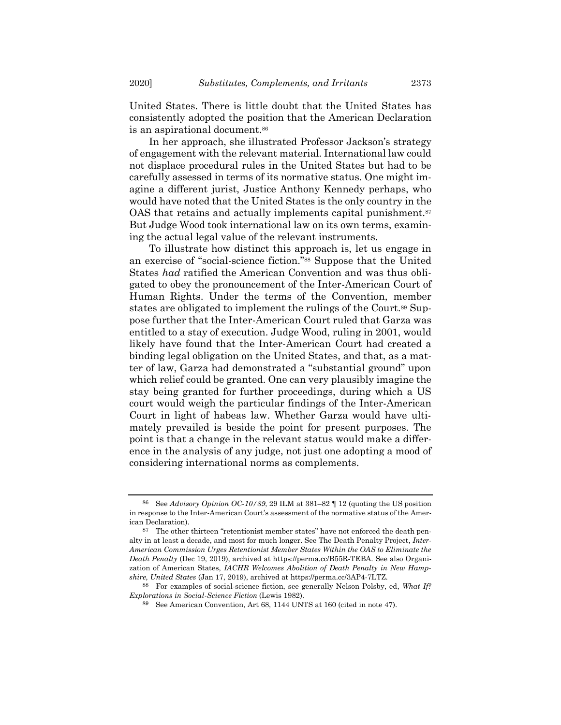United States. There is little doubt that the United States has consistently adopted the position that the American Declaration is an aspirational document.<sup>86</sup>

In her approach, she illustrated Professor Jackson's strategy of engagement with the relevant material. International law could not displace procedural rules in the United States but had to be carefully assessed in terms of its normative status. One might imagine a different jurist, Justice Anthony Kennedy perhaps, who would have noted that the United States is the only country in the OAS that retains and actually implements capital punishment.<sup>87</sup> But Judge Wood took international law on its own terms, examining the actual legal value of the relevant instruments.

To illustrate how distinct this approach is, let us engage in an exercise of "social-science fiction."<sup>88</sup> Suppose that the United States *had* ratified the American Convention and was thus obligated to obey the pronouncement of the Inter-American Court of Human Rights. Under the terms of the Convention, member states are obligated to implement the rulings of the Court.<sup>89</sup> Suppose further that the Inter-American Court ruled that Garza was entitled to a stay of execution. Judge Wood, ruling in 2001, would likely have found that the Inter-American Court had created a binding legal obligation on the United States, and that, as a matter of law, Garza had demonstrated a "substantial ground" upon which relief could be granted. One can very plausibly imagine the stay being granted for further proceedings, during which a US court would weigh the particular findings of the Inter-American Court in light of habeas law. Whether Garza would have ultimately prevailed is beside the point for present purposes. The point is that a change in the relevant status would make a difference in the analysis of any judge, not just one adopting a mood of considering international norms as complements.

<sup>86</sup> See *Advisory Opinion OC‐10/89*, 29 ILM at 381–82 ¶ 12 (quoting the US position in response to the Inter-American Court's assessment of the normative status of the American Declaration).

<sup>87</sup> The other thirteen "retentionist member states" have not enforced the death penalty in at least a decade, and most for much longer. See The Death Penalty Project, *Inter-American Commission Urges Retentionist Member States Within the OAS to Eliminate the Death Penalty* (Dec 19, 2019), archived at https://perma.cc/B55R-TEBA. See also Organization of American States, *IACHR Welcomes Abolition of Death Penalty in New Hampshire, United States* (Jan 17, 2019), archived at https://perma.cc/3AP4-7LTZ.

<sup>88</sup> For examples of social-science fiction, see generally Nelson Polsby, ed, *What If? Explorations in Social-Science Fiction* (Lewis 1982).

<sup>89</sup> See American Convention, Art 68, 1144 UNTS at 160 (cited in not[e 47\)](#page-11-0).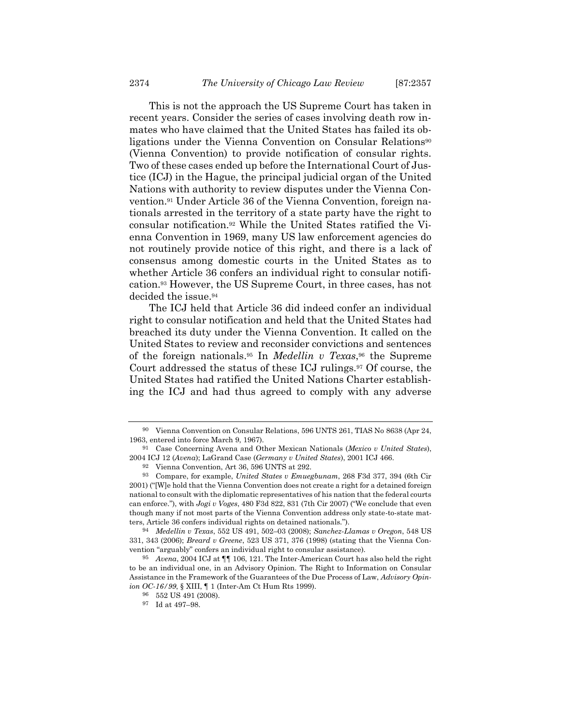This is not the approach the US Supreme Court has taken in recent years. Consider the series of cases involving death row inmates who have claimed that the United States has failed its obligations under the Vienna Convention on Consular Relations<sup>90</sup> (Vienna Convention) to provide notification of consular rights. Two of these cases ended up before the International Court of Justice (ICJ) in the Hague, the principal judicial organ of the United Nations with authority to review disputes under the Vienna Convention.<sup>91</sup> Under Article 36 of the Vienna Convention, foreign nationals arrested in the territory of a state party have the right to consular notification.<sup>92</sup> While the United States ratified the Vienna Convention in 1969, many US law enforcement agencies do not routinely provide notice of this right, and there is a lack of consensus among domestic courts in the United States as to whether Article 36 confers an individual right to consular notification.<sup>93</sup> However, the US Supreme Court, in three cases, has not decided the issue.<sup>94</sup>

The ICJ held that Article 36 did indeed confer an individual right to consular notification and held that the United States had breached its duty under the Vienna Convention. It called on the United States to review and reconsider convictions and sentences of the foreign nationals. <sup>95</sup> In *Medellin v Texas*, <sup>96</sup> the Supreme Court addressed the status of these ICJ rulings.<sup>97</sup> Of course, the United States had ratified the United Nations Charter establishing the ICJ and had thus agreed to comply with any adverse

<sup>90</sup> Vienna Convention on Consular Relations, 596 UNTS 261, TIAS No 8638 (Apr 24, 1963, entered into force March 9, 1967).

<sup>91</sup> Case Concerning Avena and Other Mexican Nationals (*Mexico v United States*), 2004 ICJ 12 (*Avena*); LaGrand Case (*Germany v United States*), 2001 ICJ 466.

<sup>92</sup> Vienna Convention, Art 36, 596 UNTS at 292.

<sup>93</sup> Compare, for example, *United States v Emuegbunam*, 268 F3d 377, 394 (6th Cir 2001) ("[W]e hold that the Vienna Convention does not create a right for a detained foreign national to consult with the diplomatic representatives of his nation that the federal courts can enforce."), with *Jogi v Voges*, 480 F3d 822, 831 (7th Cir 2007) ("We conclude that even though many if not most parts of the Vienna Convention address only state-to-state matters, Article 36 confers individual rights on detained nationals.").

<sup>94</sup> *Medellin v Texas*, 552 US 491, 502–03 (2008); *Sanchez-Llamas v Oregon*, 548 US 331, 343 (2006); *Breard v Greene*, 523 US 371, 376 (1998) (stating that the Vienna Convention "arguably" confers an individual right to consular assistance).

<sup>95</sup> *Avena*, 2004 ICJ at ¶¶ 106, 121. The Inter-American Court has also held the right to be an individual one, in an Advisory Opinion. The Right to Information on Consular Assistance in the Framework of the Guarantees of the Due Process of Law, *Advisory Opinion OC-16/99*, § XIII, ¶ 1 (Inter-Am Ct Hum Rts 1999).

<sup>96</sup> 552 US 491 (2008).

<sup>97</sup> Id at 497–98.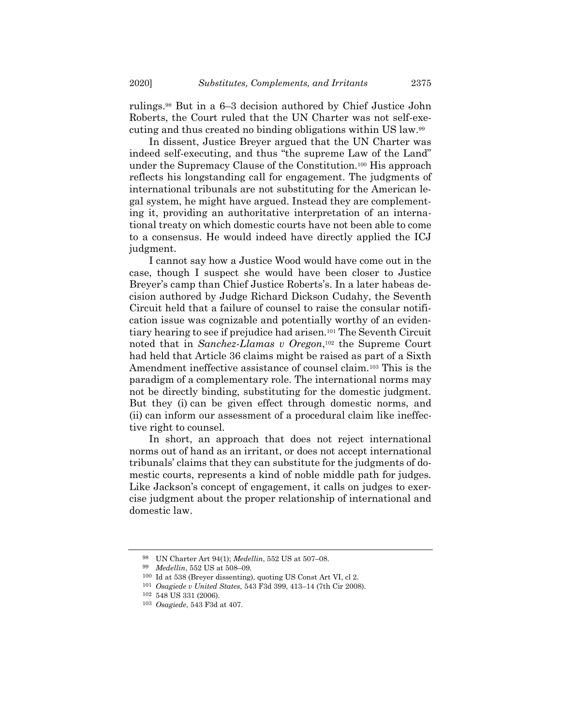rulings.<sup>98</sup> But in a 6–3 decision authored by Chief Justice John Roberts, the Court ruled that the UN Charter was not self-executing and thus created no binding obligations within US law.<sup>99</sup>

In dissent, Justice Breyer argued that the UN Charter was indeed self-executing, and thus "the supreme Law of the Land" under the Supremacy Clause of the Constitution.<sup>100</sup> His approach reflects his longstanding call for engagement. The judgments of international tribunals are not substituting for the American legal system, he might have argued. Instead they are complementing it, providing an authoritative interpretation of an international treaty on which domestic courts have not been able to come to a consensus. He would indeed have directly applied the ICJ judgment.

I cannot say how a Justice Wood would have come out in the case, though I suspect she would have been closer to Justice Breyer's camp than Chief Justice Roberts's. In a later habeas decision authored by Judge Richard Dickson Cudahy, the Seventh Circuit held that a failure of counsel to raise the consular notification issue was cognizable and potentially worthy of an evidentiary hearing to see if prejudice had arisen.<sup>101</sup> The Seventh Circuit noted that in *Sanchez-Llamas v Oregon*, <sup>102</sup> the Supreme Court had held that Article 36 claims might be raised as part of a Sixth Amendment ineffective assistance of counsel claim.<sup>103</sup> This is the paradigm of a complementary role. The international norms may not be directly binding, substituting for the domestic judgment. But they (i) can be given effect through domestic norms, and (ii) can inform our assessment of a procedural claim like ineffective right to counsel.

In short, an approach that does not reject international norms out of hand as an irritant, or does not accept international tribunals' claims that they can substitute for the judgments of domestic courts, represents a kind of noble middle path for judges. Like Jackson's concept of engagement, it calls on judges to exercise judgment about the proper relationship of international and domestic law.

<sup>98</sup> UN Charter Art 94(1); *Medellin*, 552 US at 507–08.

<sup>99</sup> *Medellin*, 552 US at 508–09.

<sup>100</sup> Id at 538 (Breyer dissenting), quoting US Const Art VI, cl 2.

<sup>101</sup> *Osagiede v United States*, 543 F3d 399, 413–14 (7th Cir 2008).

<sup>102</sup> 548 US 331 (2006).

<sup>103</sup> *Osagiede*, 543 F3d at 407.